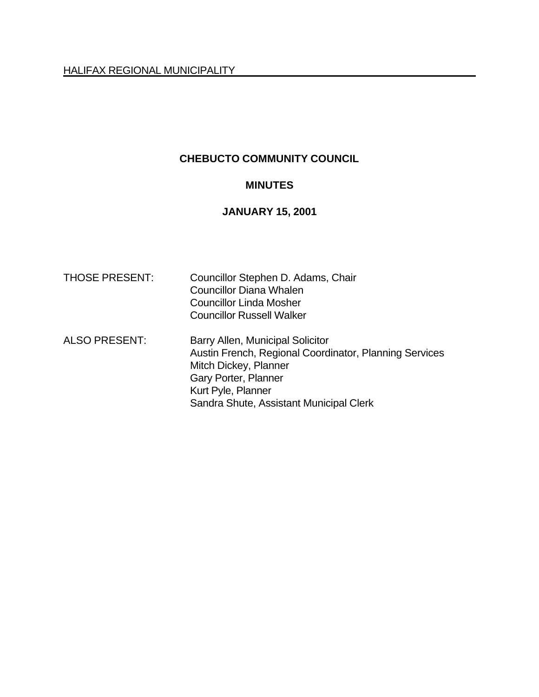# **CHEBUCTO COMMUNITY COUNCIL**

#### **MINUTES**

## **JANUARY 15, 2001**

| <b>THOSE PRESENT:</b> | Councillor Stephen D. Adams, Chair<br><b>Councillor Diana Whalen</b><br>Councillor Linda Mosher<br><b>Councillor Russell Walker</b>                                                                          |
|-----------------------|--------------------------------------------------------------------------------------------------------------------------------------------------------------------------------------------------------------|
| <b>ALSO PRESENT:</b>  | Barry Allen, Municipal Solicitor<br>Austin French, Regional Coordinator, Planning Services<br>Mitch Dickey, Planner<br>Gary Porter, Planner<br>Kurt Pyle, Planner<br>Sandra Shute, Assistant Municipal Clerk |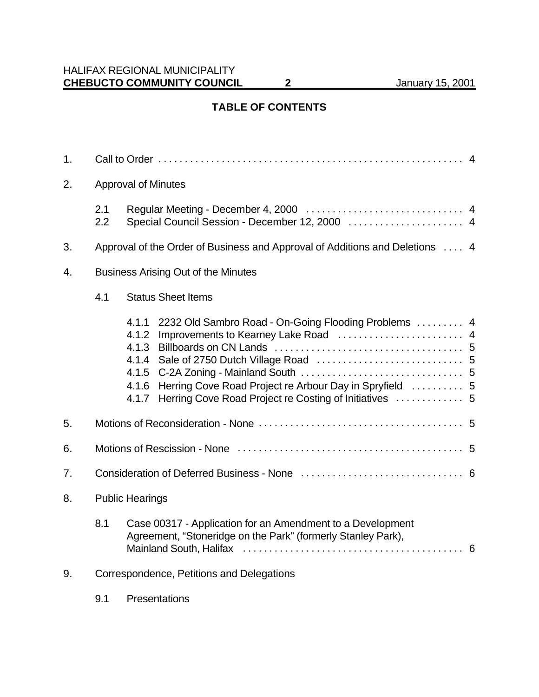# **TABLE OF CONTENTS**

| 1. |                                                              |                                                                                                                                                                                             |  |  |  |  |
|----|--------------------------------------------------------------|---------------------------------------------------------------------------------------------------------------------------------------------------------------------------------------------|--|--|--|--|
| 2. | <b>Approval of Minutes</b>                                   |                                                                                                                                                                                             |  |  |  |  |
|    | 2.1<br>Special Council Session - December 12, 2000  4<br>2.2 |                                                                                                                                                                                             |  |  |  |  |
| 3. |                                                              | Approval of the Order of Business and Approval of Additions and Deletions  4                                                                                                                |  |  |  |  |
| 4. | <b>Business Arising Out of the Minutes</b>                   |                                                                                                                                                                                             |  |  |  |  |
|    | <b>Status Sheet Items</b>                                    |                                                                                                                                                                                             |  |  |  |  |
|    |                                                              | 2232 Old Sambro Road - On-Going Flooding Problems  4<br>4.1.1<br>Improvements to Kearney Lake Road  4<br>4.1.2<br>Herring Cove Road Project re Arbour Day in Spryfield  5<br>4.1.6<br>4.1.7 |  |  |  |  |
| 5. |                                                              |                                                                                                                                                                                             |  |  |  |  |
| 6. |                                                              |                                                                                                                                                                                             |  |  |  |  |
| 7. |                                                              |                                                                                                                                                                                             |  |  |  |  |
| 8. | <b>Public Hearings</b>                                       |                                                                                                                                                                                             |  |  |  |  |
|    | 8.1                                                          | Case 00317 - Application for an Amendment to a Development<br>Agreement, "Stoneridge on the Park" (formerly Stanley Park),                                                                  |  |  |  |  |
| 9. | Correspondence, Petitions and Delegations                    |                                                                                                                                                                                             |  |  |  |  |
|    | 9.1                                                          | Presentations                                                                                                                                                                               |  |  |  |  |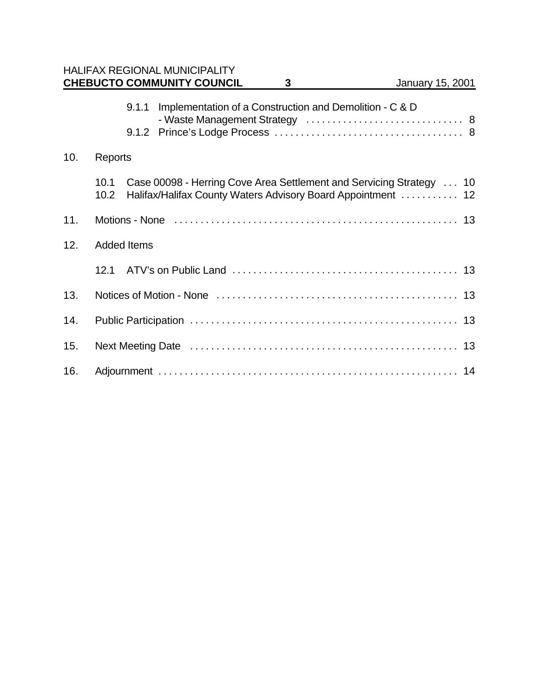|     |                    |       | <b>HALIFAX REGIONAL MUNICIPALITY</b><br><b>CHEBUCTO COMMUNITY COUNCIL</b> | $\mathbf{3}$ | January 15, 2001                                                                                                                    |  |
|-----|--------------------|-------|---------------------------------------------------------------------------|--------------|-------------------------------------------------------------------------------------------------------------------------------------|--|
|     |                    | 9.1.1 | Implementation of a Construction and Demolition - C & D                   |              |                                                                                                                                     |  |
| 10. | Reports            |       |                                                                           |              |                                                                                                                                     |  |
|     | 10.1<br>10.2       |       |                                                                           |              | Case 00098 - Herring Cove Area Settlement and Servicing Strategy 10<br>Halifax/Halifax County Waters Advisory Board Appointment  12 |  |
| 11. |                    |       |                                                                           |              |                                                                                                                                     |  |
| 12. | <b>Added Items</b> |       |                                                                           |              |                                                                                                                                     |  |
|     | 12.1               |       |                                                                           |              |                                                                                                                                     |  |
| 13. |                    |       |                                                                           |              |                                                                                                                                     |  |
| 14. |                    |       |                                                                           |              |                                                                                                                                     |  |
| 15. |                    |       |                                                                           |              |                                                                                                                                     |  |
| 16. |                    |       |                                                                           |              |                                                                                                                                     |  |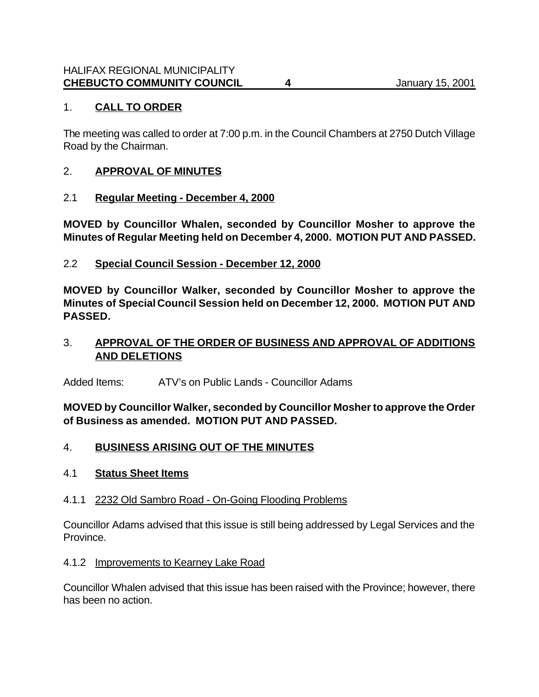### 1. **CALL TO ORDER**

The meeting was called to order at 7:00 p.m. in the Council Chambers at 2750 Dutch Village Road by the Chairman.

#### 2. **APPROVAL OF MINUTES**

#### 2.1 **Regular Meeting - December 4, 2000**

**MOVED by Councillor Whalen, seconded by Councillor Mosher to approve the Minutes of Regular Meeting held on December 4, 2000. MOTION PUT AND PASSED.**

### 2.2 **Special Council Session - December 12, 2000**

**MOVED by Councillor Walker, seconded by Councillor Mosher to approve the Minutes of Special Council Session held on December 12, 2000. MOTION PUT AND PASSED.**

### 3. **APPROVAL OF THE ORDER OF BUSINESS AND APPROVAL OF ADDITIONS AND DELETIONS**

Added Items: ATV's on Public Lands - Councillor Adams

**MOVED by Councillor Walker, seconded by Councillor Mosher to approve the Order of Business as amended. MOTION PUT AND PASSED.**

#### 4. **BUSINESS ARISING OUT OF THE MINUTES**

#### 4.1 **Status Sheet Items**

#### 4.1.1 2232 Old Sambro Road - On-Going Flooding Problems

Councillor Adams advised that this issue is still being addressed by Legal Services and the Province.

#### 4.1.2 Improvements to Kearney Lake Road

Councillor Whalen advised that this issue has been raised with the Province; however, there has been no action.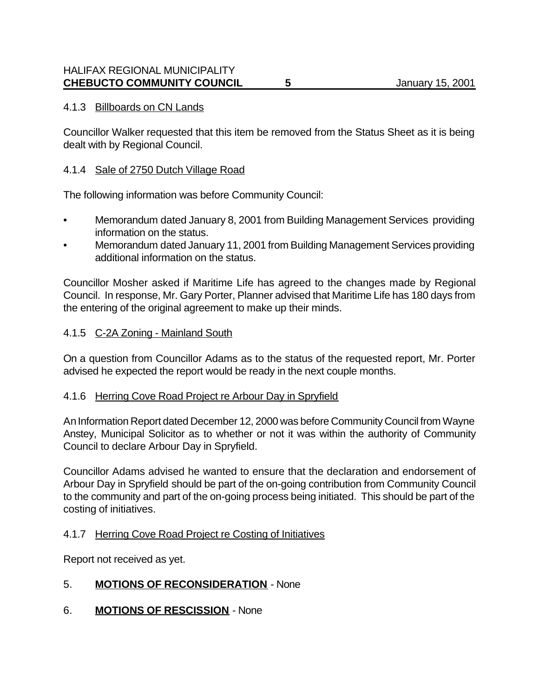### 4.1.3 Billboards on CN Lands

Councillor Walker requested that this item be removed from the Status Sheet as it is being dealt with by Regional Council.

#### 4.1.4 Sale of 2750 Dutch Village Road

The following information was before Community Council:

- Memorandum dated January 8, 2001 from Building Management Services providing information on the status.
- Memorandum dated January 11, 2001 from Building Management Services providing additional information on the status.

Councillor Mosher asked if Maritime Life has agreed to the changes made by Regional Council. In response, Mr. Gary Porter, Planner advised that Maritime Life has 180 days from the entering of the original agreement to make up their minds.

### 4.1.5 C-2A Zoning - Mainland South

On a question from Councillor Adams as to the status of the requested report, Mr. Porter advised he expected the report would be ready in the next couple months.

#### 4.1.6 Herring Cove Road Project re Arbour Day in Spryfield

An Information Report dated December 12, 2000 was before Community Council from Wayne Anstey, Municipal Solicitor as to whether or not it was within the authority of Community Council to declare Arbour Day in Spryfield.

Councillor Adams advised he wanted to ensure that the declaration and endorsement of Arbour Day in Spryfield should be part of the on-going contribution from Community Council to the community and part of the on-going process being initiated. This should be part of the costing of initiatives.

#### 4.1.7 Herring Cove Road Project re Costing of Initiatives

Report not received as yet.

## 5. **MOTIONS OF RECONSIDERATION** - None

6. **MOTIONS OF RESCISSION** - None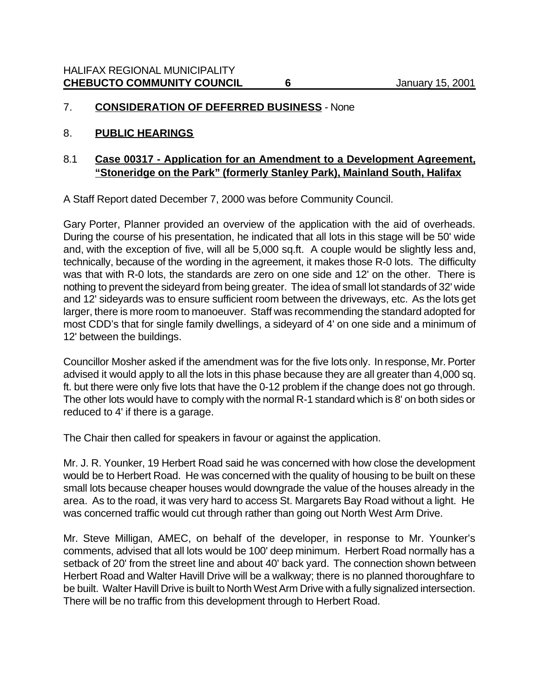#### 7. **CONSIDERATION OF DEFERRED BUSINESS** - None

#### 8. **PUBLIC HEARINGS**

#### 8.1 **Case 00317 - Application for an Amendment to a Development Agreement, "Stoneridge on the Park" (formerly Stanley Park), Mainland South, Halifax**

A Staff Report dated December 7, 2000 was before Community Council.

Gary Porter, Planner provided an overview of the application with the aid of overheads. During the course of his presentation, he indicated that all lots in this stage will be 50' wide and, with the exception of five, will all be 5,000 sq.ft. A couple would be slightly less and, technically, because of the wording in the agreement, it makes those R-0 lots. The difficulty was that with R-0 lots, the standards are zero on one side and 12' on the other. There is nothing to prevent the sideyard from being greater. The idea of small lot standards of 32' wide and 12' sideyards was to ensure sufficient room between the driveways, etc. As the lots get larger, there is more room to manoeuver. Staff was recommending the standard adopted for most CDD's that for single family dwellings, a sideyard of 4' on one side and a minimum of 12' between the buildings.

Councillor Mosher asked if the amendment was for the five lots only. In response, Mr. Porter advised it would apply to all the lots in this phase because they are all greater than 4,000 sq. ft. but there were only five lots that have the 0-12 problem if the change does not go through. The other lots would have to comply with the normal R-1 standard which is 8' on both sides or reduced to 4' if there is a garage.

The Chair then called for speakers in favour or against the application.

Mr. J. R. Younker, 19 Herbert Road said he was concerned with how close the development would be to Herbert Road. He was concerned with the quality of housing to be built on these small lots because cheaper houses would downgrade the value of the houses already in the area. As to the road, it was very hard to access St. Margarets Bay Road without a light. He was concerned traffic would cut through rather than going out North West Arm Drive.

Mr. Steve Milligan, AMEC, on behalf of the developer, in response to Mr. Younker's comments, advised that all lots would be 100' deep minimum. Herbert Road normally has a setback of 20' from the street line and about 40' back yard. The connection shown between Herbert Road and Walter Havill Drive will be a walkway; there is no planned thoroughfare to be built. Walter Havill Drive is built to North West Arm Drive with a fully signalized intersection. There will be no traffic from this development through to Herbert Road.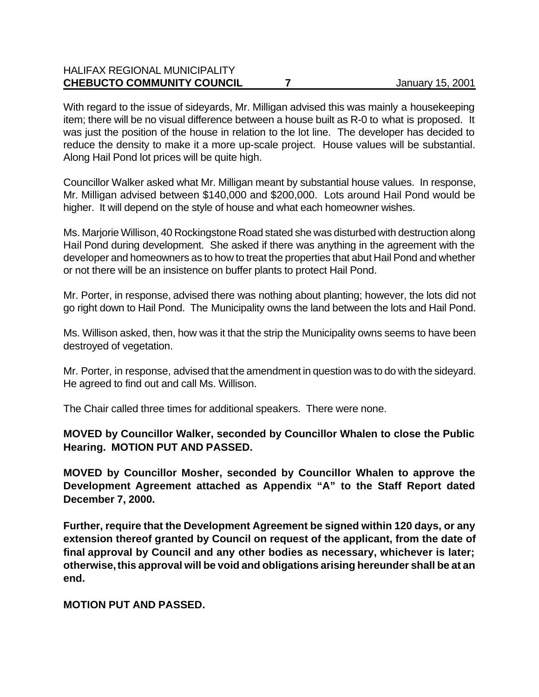## HALIFAX REGIONAL MUNICIPALITY **CHEBUCTO COMMUNITY COUNCIL 7** January 15, 2001

With regard to the issue of sideyards, Mr. Milligan advised this was mainly a housekeeping item; there will be no visual difference between a house built as R-0 to what is proposed. It was just the position of the house in relation to the lot line. The developer has decided to reduce the density to make it a more up-scale project. House values will be substantial. Along Hail Pond lot prices will be quite high.

Councillor Walker asked what Mr. Milligan meant by substantial house values. In response, Mr. Milligan advised between \$140,000 and \$200,000. Lots around Hail Pond would be higher. It will depend on the style of house and what each homeowner wishes.

Ms. Marjorie Willison, 40 Rockingstone Road stated she was disturbed with destruction along Hail Pond during development. She asked if there was anything in the agreement with the developer and homeowners as to how to treat the properties that abut Hail Pond and whether or not there will be an insistence on buffer plants to protect Hail Pond.

Mr. Porter, in response, advised there was nothing about planting; however, the lots did not go right down to Hail Pond. The Municipality owns the land between the lots and Hail Pond.

Ms. Willison asked, then, how was it that the strip the Municipality owns seems to have been destroyed of vegetation.

Mr. Porter, in response, advised that the amendment in question was to do with the sideyard. He agreed to find out and call Ms. Willison.

The Chair called three times for additional speakers. There were none.

**MOVED by Councillor Walker, seconded by Councillor Whalen to close the Public Hearing. MOTION PUT AND PASSED.**

**MOVED by Councillor Mosher, seconded by Councillor Whalen to approve the Development Agreement attached as Appendix "A" to the Staff Report dated December 7, 2000.** 

**Further, require that the Development Agreement be signed within 120 days, or any extension thereof granted by Council on request of the applicant, from the date of final approval by Council and any other bodies as necessary, whichever is later; otherwise, this approval will be void and obligations arising hereunder shall be at an end.** 

**MOTION PUT AND PASSED.**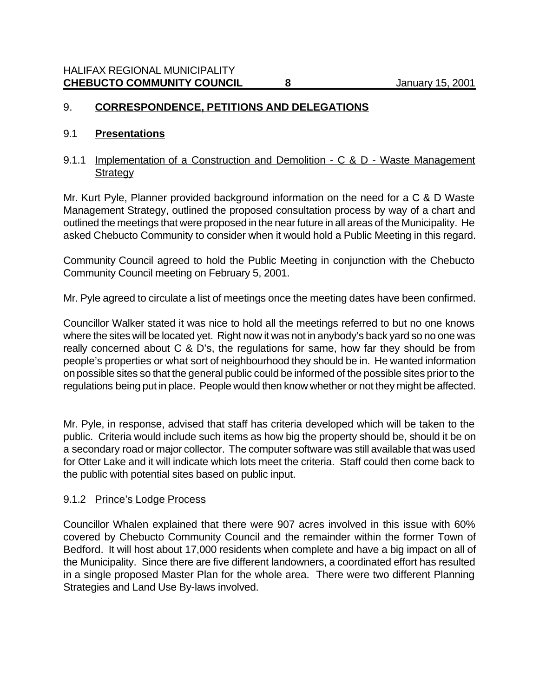### 9. **CORRESPONDENCE, PETITIONS AND DELEGATIONS**

#### 9.1 **Presentations**

#### 9.1.1 Implementation of a Construction and Demolition - C & D - Waste Management **Strategy**

Mr. Kurt Pyle, Planner provided background information on the need for a C & D Waste Management Strategy, outlined the proposed consultation process by way of a chart and outlined the meetings that were proposed in the near future in all areas of the Municipality. He asked Chebucto Community to consider when it would hold a Public Meeting in this regard.

Community Council agreed to hold the Public Meeting in conjunction with the Chebucto Community Council meeting on February 5, 2001.

Mr. Pyle agreed to circulate a list of meetings once the meeting dates have been confirmed.

Councillor Walker stated it was nice to hold all the meetings referred to but no one knows where the sites will be located yet. Right now it was not in anybody's back yard so no one was really concerned about C & D's, the regulations for same, how far they should be from people's properties or what sort of neighbourhood they should be in. He wanted information on possible sites so that the general public could be informed of the possible sites prior to the regulations being put in place. People would then know whether or not they might be affected.

Mr. Pyle, in response, advised that staff has criteria developed which will be taken to the public. Criteria would include such items as how big the property should be, should it be on a secondary road or major collector. The computer software was still available that was used for Otter Lake and it will indicate which lots meet the criteria. Staff could then come back to the public with potential sites based on public input.

#### 9.1.2 Prince's Lodge Process

Councillor Whalen explained that there were 907 acres involved in this issue with 60% covered by Chebucto Community Council and the remainder within the former Town of Bedford. It will host about 17,000 residents when complete and have a big impact on all of the Municipality. Since there are five different landowners, a coordinated effort has resulted in a single proposed Master Plan for the whole area. There were two different Planning Strategies and Land Use By-laws involved.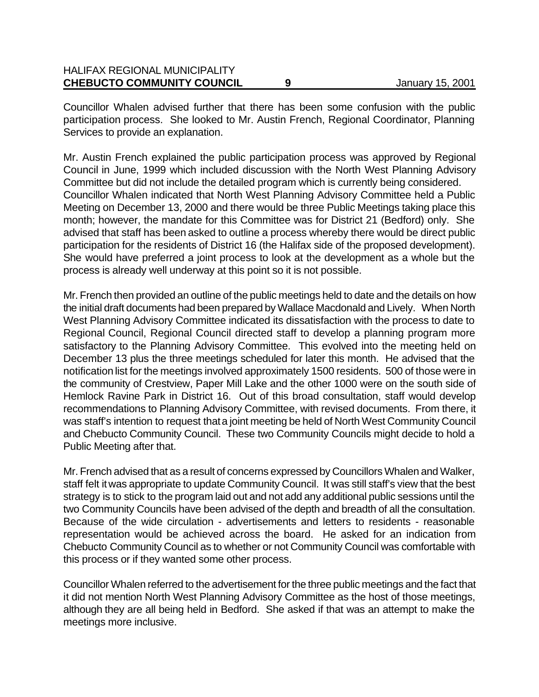| <b>HALIFAX REGIONAL MUNICIPALITY</b> |                  |
|--------------------------------------|------------------|
| <b>CHEBUCTO COMMUNITY COUNCIL</b>    | January 15, 2001 |

Councillor Whalen advised further that there has been some confusion with the public participation process. She looked to Mr. Austin French, Regional Coordinator, Planning Services to provide an explanation.

Mr. Austin French explained the public participation process was approved by Regional Council in June, 1999 which included discussion with the North West Planning Advisory Committee but did not include the detailed program which is currently being considered. Councillor Whalen indicated that North West Planning Advisory Committee held a Public Meeting on December 13, 2000 and there would be three Public Meetings taking place this month; however, the mandate for this Committee was for District 21 (Bedford) only. She advised that staff has been asked to outline a process whereby there would be direct public participation for the residents of District 16 (the Halifax side of the proposed development). She would have preferred a joint process to look at the development as a whole but the process is already well underway at this point so it is not possible.

Mr. French then provided an outline of the public meetings held to date and the details on how the initial draft documents had been prepared by Wallace Macdonald and Lively. When North West Planning Advisory Committee indicated its dissatisfaction with the process to date to Regional Council, Regional Council directed staff to develop a planning program more satisfactory to the Planning Advisory Committee. This evolved into the meeting held on December 13 plus the three meetings scheduled for later this month. He advised that the notification list for the meetings involved approximately 1500 residents. 500 of those were in the community of Crestview, Paper Mill Lake and the other 1000 were on the south side of Hemlock Ravine Park in District 16. Out of this broad consultation, staff would develop recommendations to Planning Advisory Committee, with revised documents. From there, it was staff's intention to request that a joint meeting be held of North West Community Council and Chebucto Community Council. These two Community Councils might decide to hold a Public Meeting after that.

Mr. French advised that as a result of concerns expressed by Councillors Whalen and Walker, staff felt it was appropriate to update Community Council. It was still staff's view that the best strategy is to stick to the program laid out and not add any additional public sessions until the two Community Councils have been advised of the depth and breadth of all the consultation. Because of the wide circulation - advertisements and letters to residents - reasonable representation would be achieved across the board. He asked for an indication from Chebucto Community Council as to whether or not Community Council was comfortable with this process or if they wanted some other process.

Councillor Whalen referred to the advertisement for the three public meetings and the fact that it did not mention North West Planning Advisory Committee as the host of those meetings, although they are all being held in Bedford. She asked if that was an attempt to make the meetings more inclusive.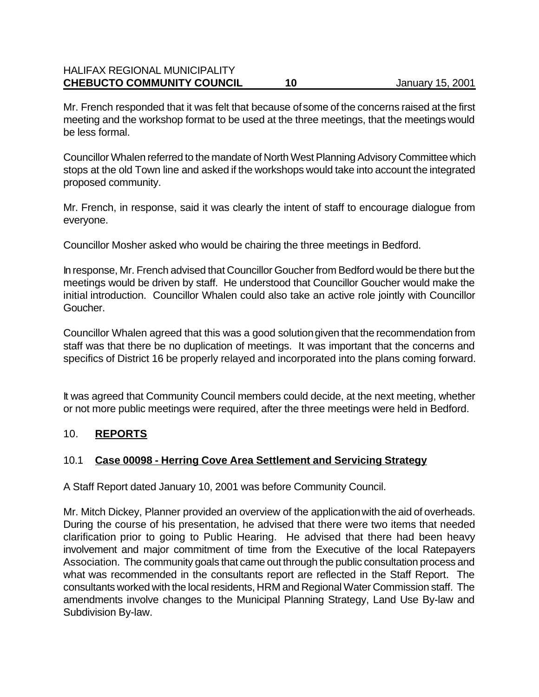#### HALIFAX REGIONAL MUNICIPALITY **CHEBUCTO COMMUNITY COUNCIL 10** January 15, 2001

Mr. French responded that it was felt that because of some of the concerns raised at the first meeting and the workshop format to be used at the three meetings, that the meetings would be less formal.

Councillor Whalen referred to the mandate of North West Planning Advisory Committee which stops at the old Town line and asked if the workshops would take into account the integrated proposed community.

Mr. French, in response, said it was clearly the intent of staff to encourage dialogue from everyone.

Councillor Mosher asked who would be chairing the three meetings in Bedford.

In response, Mr. French advised that Councillor Goucher from Bedford would be there but the meetings would be driven by staff. He understood that Councillor Goucher would make the initial introduction. Councillor Whalen could also take an active role jointly with Councillor Goucher.

Councillor Whalen agreed that this was a good solution given that the recommendation from staff was that there be no duplication of meetings. It was important that the concerns and specifics of District 16 be properly relayed and incorporated into the plans coming forward.

It was agreed that Community Council members could decide, at the next meeting, whether or not more public meetings were required, after the three meetings were held in Bedford.

#### 10. **REPORTS**

#### 10.1 **Case 00098 - Herring Cove Area Settlement and Servicing Strategy**

A Staff Report dated January 10, 2001 was before Community Council.

Mr. Mitch Dickey, Planner provided an overview of the application with the aid of overheads. During the course of his presentation, he advised that there were two items that needed clarification prior to going to Public Hearing. He advised that there had been heavy involvement and major commitment of time from the Executive of the local Ratepayers Association. The community goals that came out through the public consultation process and what was recommended in the consultants report are reflected in the Staff Report. The consultants worked with the local residents, HRM and Regional Water Commission staff. The amendments involve changes to the Municipal Planning Strategy, Land Use By-law and Subdivision By-law.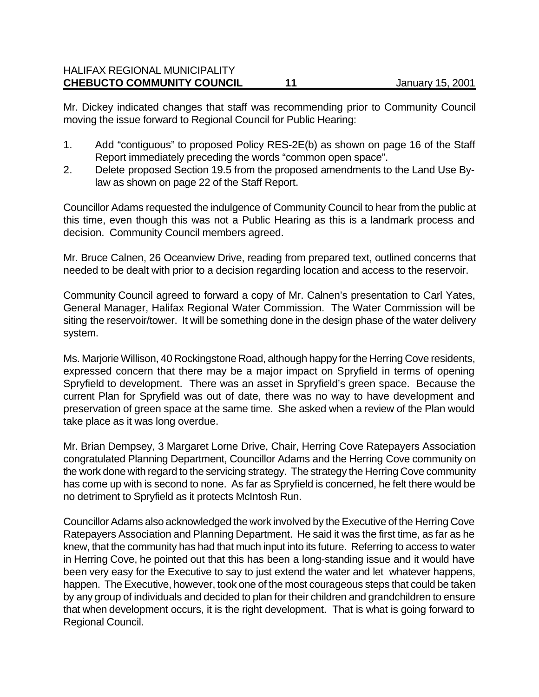#### HALIFAX REGIONAL MUNICIPALITY **CHEBUCTO COMMUNITY COUNCIL 11** January 15, 2001

Mr. Dickey indicated changes that staff was recommending prior to Community Council moving the issue forward to Regional Council for Public Hearing:

- 1. Add "contiguous" to proposed Policy RES-2E(b) as shown on page 16 of the Staff Report immediately preceding the words "common open space".
- 2. Delete proposed Section 19.5 from the proposed amendments to the Land Use Bylaw as shown on page 22 of the Staff Report.

Councillor Adams requested the indulgence of Community Council to hear from the public at this time, even though this was not a Public Hearing as this is a landmark process and decision. Community Council members agreed.

Mr. Bruce Calnen, 26 Oceanview Drive, reading from prepared text, outlined concerns that needed to be dealt with prior to a decision regarding location and access to the reservoir.

Community Council agreed to forward a copy of Mr. Calnen's presentation to Carl Yates, General Manager, Halifax Regional Water Commission. The Water Commission will be siting the reservoir/tower. It will be something done in the design phase of the water delivery system.

Ms. Marjorie Willison, 40 Rockingstone Road, although happy for the Herring Cove residents, expressed concern that there may be a major impact on Spryfield in terms of opening Spryfield to development. There was an asset in Spryfield's green space. Because the current Plan for Spryfield was out of date, there was no way to have development and preservation of green space at the same time. She asked when a review of the Plan would take place as it was long overdue.

Mr. Brian Dempsey, 3 Margaret Lorne Drive, Chair, Herring Cove Ratepayers Association congratulated Planning Department, Councillor Adams and the Herring Cove community on the work done with regard to the servicing strategy. The strategy the Herring Cove community has come up with is second to none. As far as Spryfield is concerned, he felt there would be no detriment to Spryfield as it protects McIntosh Run.

Councillor Adams also acknowledged the work involved by the Executive of the Herring Cove Ratepayers Association and Planning Department. He said it was the first time, as far as he knew, that the community has had that much input into its future. Referring to access to water in Herring Cove, he pointed out that this has been a long-standing issue and it would have been very easy for the Executive to say to just extend the water and let whatever happens, happen. The Executive, however, took one of the most courageous steps that could be taken by any group of individuals and decided to plan for their children and grandchildren to ensure that when development occurs, it is the right development. That is what is going forward to Regional Council.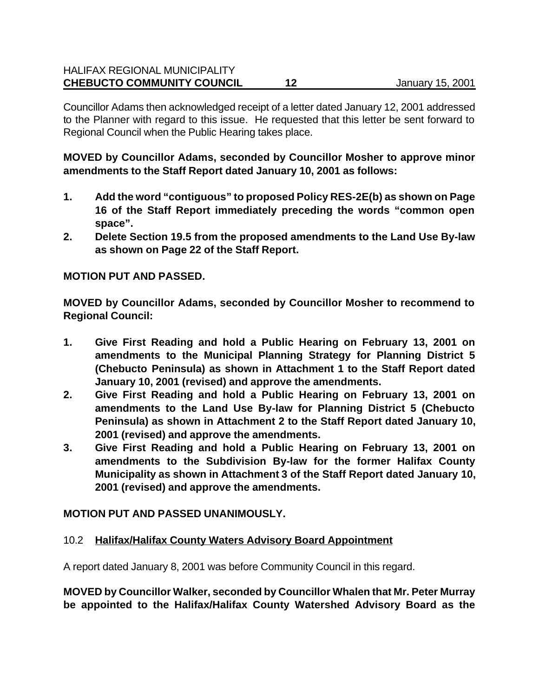Councillor Adams then acknowledged receipt of a letter dated January 12, 2001 addressed to the Planner with regard to this issue. He requested that this letter be sent forward to Regional Council when the Public Hearing takes place.

**MOVED by Councillor Adams, seconded by Councillor Mosher to approve minor amendments to the Staff Report dated January 10, 2001 as follows:**

- **1. Add the word "contiguous" to proposed Policy RES-2E(b) as shown on Page 16 of the Staff Report immediately preceding the words "common open space".**
- **2. Delete Section 19.5 from the proposed amendments to the Land Use By-law as shown on Page 22 of the Staff Report.**

### **MOTION PUT AND PASSED.**

**MOVED by Councillor Adams, seconded by Councillor Mosher to recommend to Regional Council:**

- **1. Give First Reading and hold a Public Hearing on February 13, 2001 on amendments to the Municipal Planning Strategy for Planning District 5 (Chebucto Peninsula) as shown in Attachment 1 to the Staff Report dated January 10, 2001 (revised) and approve the amendments.**
- **2. Give First Reading and hold a Public Hearing on February 13, 2001 on amendments to the Land Use By-law for Planning District 5 (Chebucto Peninsula) as shown in Attachment 2 to the Staff Report dated January 10, 2001 (revised) and approve the amendments.**
- **3. Give First Reading and hold a Public Hearing on February 13, 2001 on amendments to the Subdivision By-law for the former Halifax County Municipality as shown in Attachment 3 of the Staff Report dated January 10, 2001 (revised) and approve the amendments.**

## **MOTION PUT AND PASSED UNANIMOUSLY.**

#### 10.2 **Halifax/Halifax County Waters Advisory Board Appointment**

A report dated January 8, 2001 was before Community Council in this regard.

**MOVED by Councillor Walker, seconded by Councillor Whalen that Mr. Peter Murray be appointed to the Halifax/Halifax County Watershed Advisory Board as the**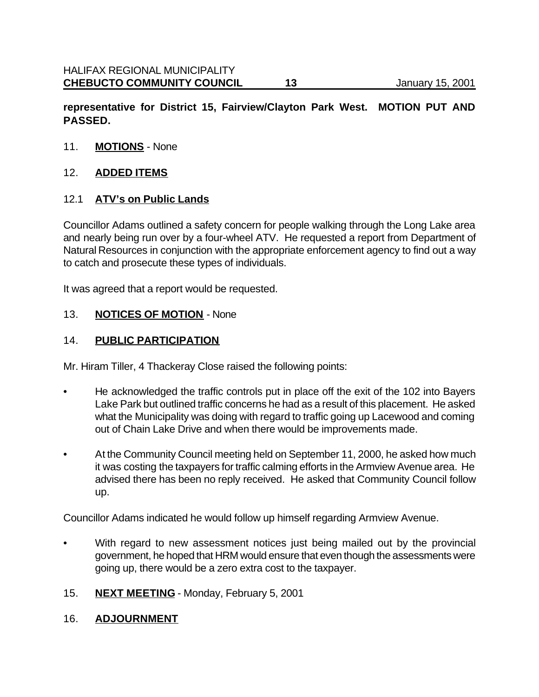**representative for District 15, Fairview/Clayton Park West. MOTION PUT AND PASSED.**

11. **MOTIONS** - None

### 12. **ADDED ITEMS**

### 12.1 **ATV's on Public Lands**

Councillor Adams outlined a safety concern for people walking through the Long Lake area and nearly being run over by a four-wheel ATV. He requested a report from Department of Natural Resources in conjunction with the appropriate enforcement agency to find out a way to catch and prosecute these types of individuals.

It was agreed that a report would be requested.

#### 13. **NOTICES OF MOTION** - None

### 14. **PUBLIC PARTICIPATION**

Mr. Hiram Tiller, 4 Thackeray Close raised the following points:

- He acknowledged the traffic controls put in place off the exit of the 102 into Bayers Lake Park but outlined traffic concerns he had as a result of this placement. He asked what the Municipality was doing with regard to traffic going up Lacewood and coming out of Chain Lake Drive and when there would be improvements made.
- At the Community Council meeting held on September 11, 2000, he asked how much it was costing the taxpayers for traffic calming efforts in the Armview Avenue area. He advised there has been no reply received. He asked that Community Council follow up.

Councillor Adams indicated he would follow up himself regarding Armview Avenue.

- With regard to new assessment notices just being mailed out by the provincial government, he hoped that HRM would ensure that even though the assessments were going up, there would be a zero extra cost to the taxpayer.
- 15. **NEXT MEETING** Monday, February 5, 2001
- 16. **ADJOURNMENT**